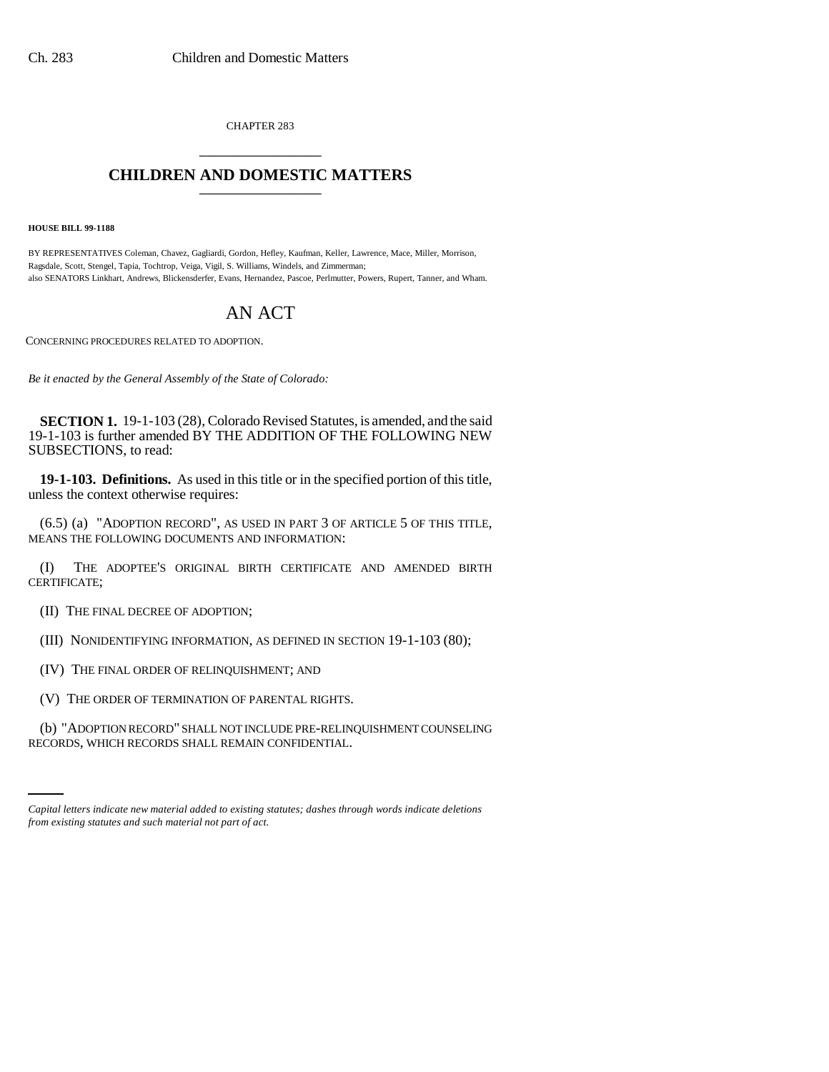CHAPTER 283 \_\_\_\_\_\_\_\_\_\_\_\_\_\_\_

## **CHILDREN AND DOMESTIC MATTERS** \_\_\_\_\_\_\_\_\_\_\_\_\_\_\_

**HOUSE BILL 99-1188**

BY REPRESENTATIVES Coleman, Chavez, Gagliardi, Gordon, Hefley, Kaufman, Keller, Lawrence, Mace, Miller, Morrison, Ragsdale, Scott, Stengel, Tapia, Tochtrop, Veiga, Vigil, S. Williams, Windels, and Zimmerman; also SENATORS Linkhart, Andrews, Blickensderfer, Evans, Hernandez, Pascoe, Perlmutter, Powers, Rupert, Tanner, and Wham.

# AN ACT

CONCERNING PROCEDURES RELATED TO ADOPTION.

*Be it enacted by the General Assembly of the State of Colorado:*

**SECTION 1.** 19-1-103 (28), Colorado Revised Statutes, is amended, and the said 19-1-103 is further amended BY THE ADDITION OF THE FOLLOWING NEW SUBSECTIONS, to read:

**19-1-103. Definitions.** As used in this title or in the specified portion of this title, unless the context otherwise requires:

(6.5) (a) "ADOPTION RECORD", AS USED IN PART 3 OF ARTICLE 5 OF THIS TITLE, MEANS THE FOLLOWING DOCUMENTS AND INFORMATION:

(I) THE ADOPTEE'S ORIGINAL BIRTH CERTIFICATE AND AMENDED BIRTH CERTIFICATE;

(II) THE FINAL DECREE OF ADOPTION;

(III) NONIDENTIFYING INFORMATION, AS DEFINED IN SECTION 19-1-103 (80);

(IV) THE FINAL ORDER OF RELINQUISHMENT; AND

(V) THE ORDER OF TERMINATION OF PARENTAL RIGHTS.

(b) "ADOPTION RECORD" SHALL NOT INCLUDE PRE-RELINQUISHMENT COUNSELING RECORDS, WHICH RECORDS SHALL REMAIN CONFIDENTIAL.

*Capital letters indicate new material added to existing statutes; dashes through words indicate deletions from existing statutes and such material not part of act.*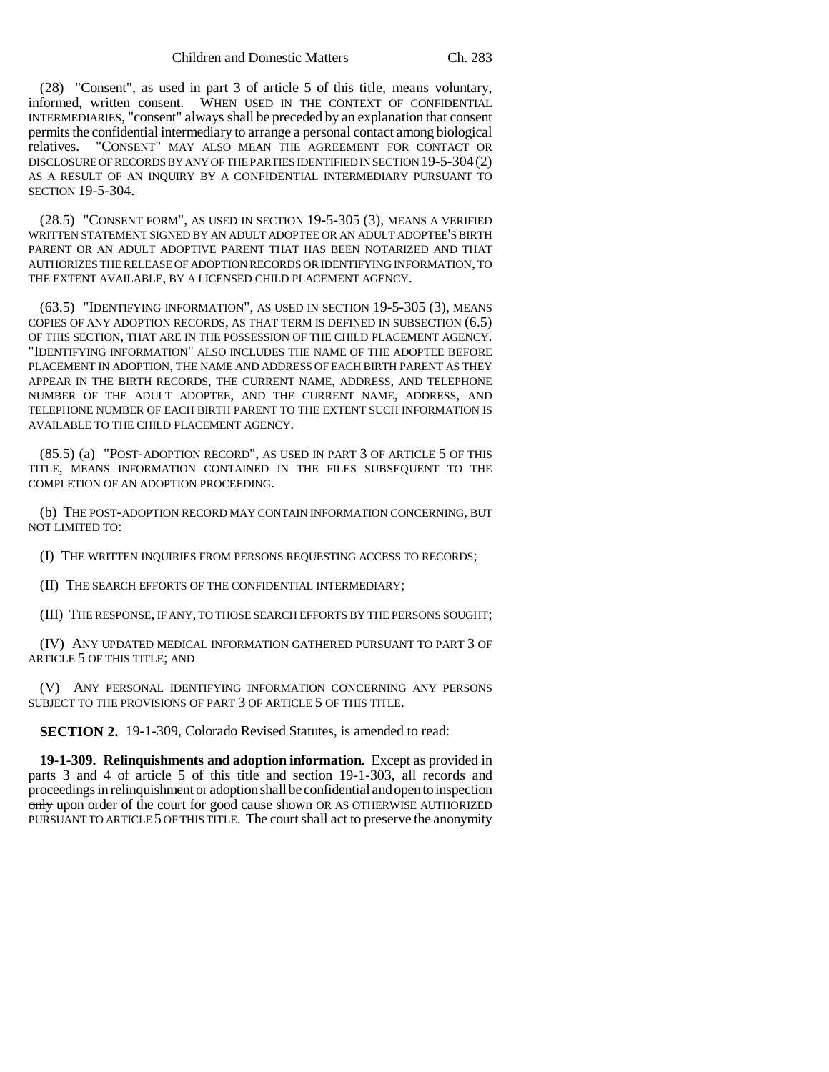(28) "Consent", as used in part 3 of article 5 of this title, means voluntary, informed, written consent. WHEN USED IN THE CONTEXT OF CONFIDENTIAL INTERMEDIARIES, "consent" always shall be preceded by an explanation that consent permits the confidential intermediary to arrange a personal contact among biological relatives. "CONSENT" MAY ALSO MEAN THE AGREEMENT FOR CONTACT OR DISCLOSURE OF RECORDS BY ANY OF THE PARTIES IDENTIFIED IN SECTION 19-5-304(2) AS A RESULT OF AN INQUIRY BY A CONFIDENTIAL INTERMEDIARY PURSUANT TO SECTION 19-5-304.

(28.5) "CONSENT FORM", AS USED IN SECTION 19-5-305 (3), MEANS A VERIFIED WRITTEN STATEMENT SIGNED BY AN ADULT ADOPTEE OR AN ADULT ADOPTEE'S BIRTH PARENT OR AN ADULT ADOPTIVE PARENT THAT HAS BEEN NOTARIZED AND THAT AUTHORIZES THE RELEASE OF ADOPTION RECORDS OR IDENTIFYING INFORMATION, TO THE EXTENT AVAILABLE, BY A LICENSED CHILD PLACEMENT AGENCY.

(63.5) "IDENTIFYING INFORMATION", AS USED IN SECTION 19-5-305 (3), MEANS COPIES OF ANY ADOPTION RECORDS, AS THAT TERM IS DEFINED IN SUBSECTION (6.5) OF THIS SECTION, THAT ARE IN THE POSSESSION OF THE CHILD PLACEMENT AGENCY. "IDENTIFYING INFORMATION" ALSO INCLUDES THE NAME OF THE ADOPTEE BEFORE PLACEMENT IN ADOPTION, THE NAME AND ADDRESS OF EACH BIRTH PARENT AS THEY APPEAR IN THE BIRTH RECORDS, THE CURRENT NAME, ADDRESS, AND TELEPHONE NUMBER OF THE ADULT ADOPTEE, AND THE CURRENT NAME, ADDRESS, AND TELEPHONE NUMBER OF EACH BIRTH PARENT TO THE EXTENT SUCH INFORMATION IS AVAILABLE TO THE CHILD PLACEMENT AGENCY.

(85.5) (a) "POST-ADOPTION RECORD", AS USED IN PART 3 OF ARTICLE 5 OF THIS TITLE, MEANS INFORMATION CONTAINED IN THE FILES SUBSEQUENT TO THE COMPLETION OF AN ADOPTION PROCEEDING.

(b) THE POST-ADOPTION RECORD MAY CONTAIN INFORMATION CONCERNING, BUT NOT LIMITED TO:

(I) THE WRITTEN INQUIRIES FROM PERSONS REQUESTING ACCESS TO RECORDS;

(II) THE SEARCH EFFORTS OF THE CONFIDENTIAL INTERMEDIARY;

(III) THE RESPONSE, IF ANY, TO THOSE SEARCH EFFORTS BY THE PERSONS SOUGHT;

(IV) ANY UPDATED MEDICAL INFORMATION GATHERED PURSUANT TO PART 3 OF ARTICLE 5 OF THIS TITLE; AND

(V) ANY PERSONAL IDENTIFYING INFORMATION CONCERNING ANY PERSONS SUBJECT TO THE PROVISIONS OF PART 3 OF ARTICLE 5 OF THIS TITLE.

**SECTION 2.** 19-1-309, Colorado Revised Statutes, is amended to read:

**19-1-309. Relinquishments and adoption information.** Except as provided in parts 3 and 4 of article 5 of this title and section 19-1-303, all records and proceedings in relinquishment or adoption shall be confidential and open to inspection only upon order of the court for good cause shown OR AS OTHERWISE AUTHORIZED PURSUANT TO ARTICLE 5 OF THIS TITLE. The court shall act to preserve the anonymity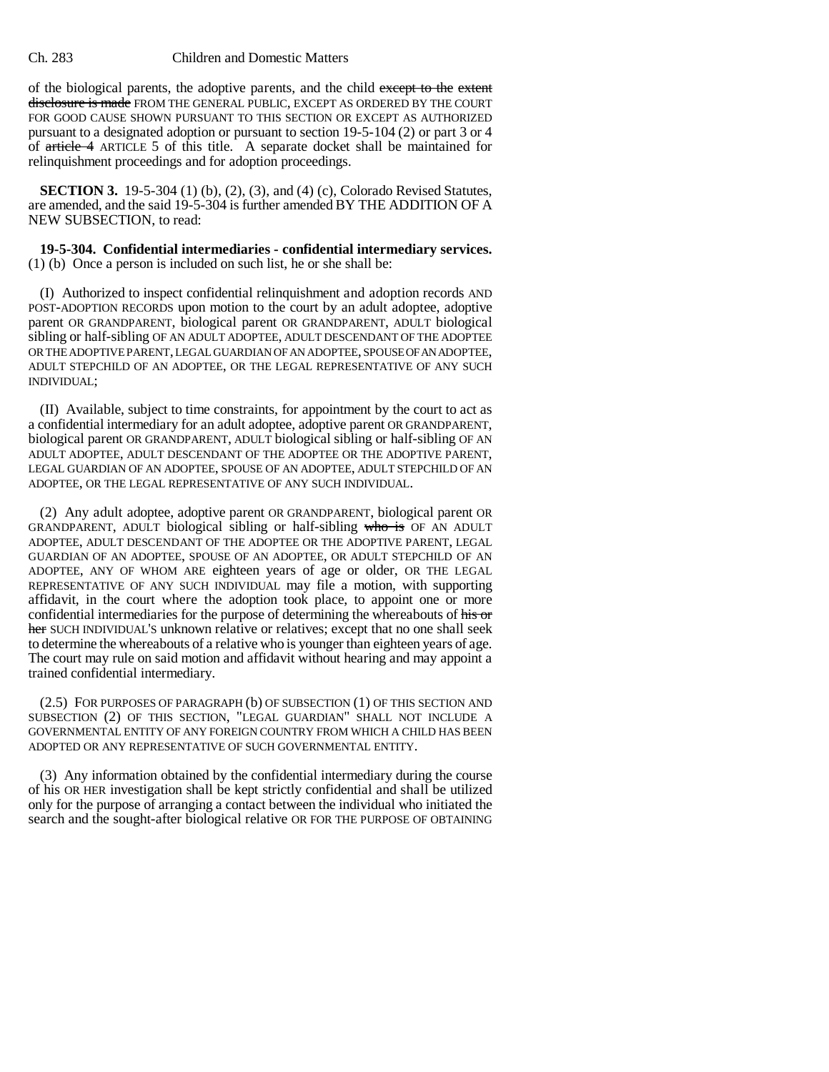#### Ch. 283 Children and Domestic Matters

of the biological parents, the adoptive parents, and the child except to the extent disclosure is made FROM THE GENERAL PUBLIC, EXCEPT AS ORDERED BY THE COURT FOR GOOD CAUSE SHOWN PURSUANT TO THIS SECTION OR EXCEPT AS AUTHORIZED pursuant to a designated adoption or pursuant to section 19-5-104 (2) or part 3 or 4 of article 4 ARTICLE 5 of this title. A separate docket shall be maintained for relinquishment proceedings and for adoption proceedings.

**SECTION 3.** 19-5-304 (1) (b), (2), (3), and (4) (c), Colorado Revised Statutes, are amended, and the said 19-5-304 is further amended BY THE ADDITION OF A NEW SUBSECTION, to read:

#### **19-5-304. Confidential intermediaries - confidential intermediary services.** (1) (b) Once a person is included on such list, he or she shall be:

(I) Authorized to inspect confidential relinquishment and adoption records AND POST-ADOPTION RECORDS upon motion to the court by an adult adoptee, adoptive parent OR GRANDPARENT, biological parent OR GRANDPARENT, ADULT biological sibling or half-sibling OF AN ADULT ADOPTEE, ADULT DESCENDANT OF THE ADOPTEE OR THE ADOPTIVE PARENT, LEGAL GUARDIAN OF AN ADOPTEE, SPOUSE OF AN ADOPTEE, ADULT STEPCHILD OF AN ADOPTEE, OR THE LEGAL REPRESENTATIVE OF ANY SUCH INDIVIDUAL;

(II) Available, subject to time constraints, for appointment by the court to act as a confidential intermediary for an adult adoptee, adoptive parent OR GRANDPARENT, biological parent OR GRANDPARENT, ADULT biological sibling or half-sibling OF AN ADULT ADOPTEE, ADULT DESCENDANT OF THE ADOPTEE OR THE ADOPTIVE PARENT, LEGAL GUARDIAN OF AN ADOPTEE, SPOUSE OF AN ADOPTEE, ADULT STEPCHILD OF AN ADOPTEE, OR THE LEGAL REPRESENTATIVE OF ANY SUCH INDIVIDUAL.

(2) Any adult adoptee, adoptive parent OR GRANDPARENT, biological parent OR GRANDPARENT, ADULT biological sibling or half-sibling who is OF AN ADULT ADOPTEE, ADULT DESCENDANT OF THE ADOPTEE OR THE ADOPTIVE PARENT, LEGAL GUARDIAN OF AN ADOPTEE, SPOUSE OF AN ADOPTEE, OR ADULT STEPCHILD OF AN ADOPTEE, ANY OF WHOM ARE eighteen years of age or older, OR THE LEGAL REPRESENTATIVE OF ANY SUCH INDIVIDUAL may file a motion, with supporting affidavit, in the court where the adoption took place, to appoint one or more confidential intermediaries for the purpose of determining the whereabouts of his or her SUCH INDIVIDUAL'S unknown relative or relatives; except that no one shall seek to determine the whereabouts of a relative who is younger than eighteen years of age. The court may rule on said motion and affidavit without hearing and may appoint a trained confidential intermediary.

(2.5) FOR PURPOSES OF PARAGRAPH (b) OF SUBSECTION (1) OF THIS SECTION AND SUBSECTION (2) OF THIS SECTION, "LEGAL GUARDIAN" SHALL NOT INCLUDE A GOVERNMENTAL ENTITY OF ANY FOREIGN COUNTRY FROM WHICH A CHILD HAS BEEN ADOPTED OR ANY REPRESENTATIVE OF SUCH GOVERNMENTAL ENTITY.

(3) Any information obtained by the confidential intermediary during the course of his OR HER investigation shall be kept strictly confidential and shall be utilized only for the purpose of arranging a contact between the individual who initiated the search and the sought-after biological relative OR FOR THE PURPOSE OF OBTAINING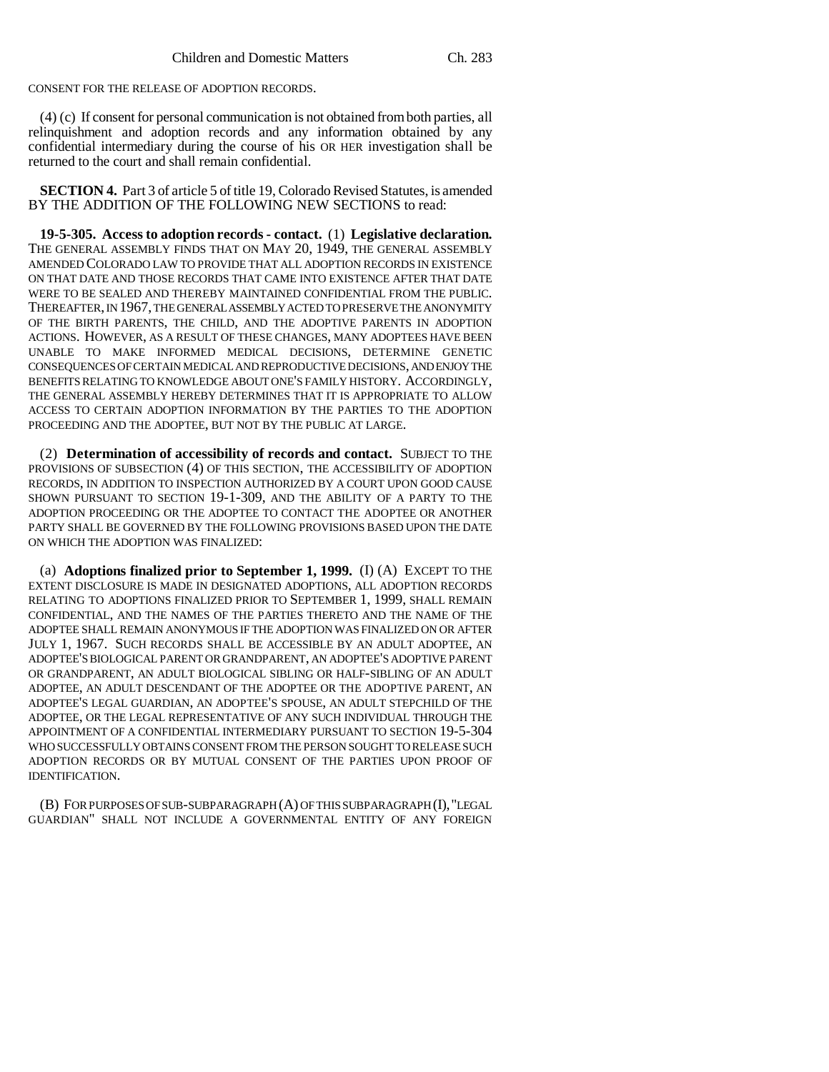CONSENT FOR THE RELEASE OF ADOPTION RECORDS.

(4) (c) If consent for personal communication is not obtained from both parties, all relinquishment and adoption records and any information obtained by any confidential intermediary during the course of his OR HER investigation shall be returned to the court and shall remain confidential.

**SECTION 4.** Part 3 of article 5 of title 19, Colorado Revised Statutes, is amended BY THE ADDITION OF THE FOLLOWING NEW SECTIONS to read:

**19-5-305. Access to adoption records - contact.** (1) **Legislative declaration.** THE GENERAL ASSEMBLY FINDS THAT ON MAY 20, 1949, THE GENERAL ASSEMBLY AMENDED COLORADO LAW TO PROVIDE THAT ALL ADOPTION RECORDS IN EXISTENCE ON THAT DATE AND THOSE RECORDS THAT CAME INTO EXISTENCE AFTER THAT DATE WERE TO BE SEALED AND THEREBY MAINTAINED CONFIDENTIAL FROM THE PUBLIC. THEREAFTER, IN 1967, THE GENERAL ASSEMBLY ACTED TO PRESERVE THE ANONYMITY OF THE BIRTH PARENTS, THE CHILD, AND THE ADOPTIVE PARENTS IN ADOPTION ACTIONS. HOWEVER, AS A RESULT OF THESE CHANGES, MANY ADOPTEES HAVE BEEN UNABLE TO MAKE INFORMED MEDICAL DECISIONS, DETERMINE GENETIC CONSEQUENCES OF CERTAIN MEDICAL AND REPRODUCTIVE DECISIONS, AND ENJOY THE BENEFITS RELATING TO KNOWLEDGE ABOUT ONE'S FAMILY HISTORY. ACCORDINGLY, THE GENERAL ASSEMBLY HEREBY DETERMINES THAT IT IS APPROPRIATE TO ALLOW ACCESS TO CERTAIN ADOPTION INFORMATION BY THE PARTIES TO THE ADOPTION PROCEEDING AND THE ADOPTEE, BUT NOT BY THE PUBLIC AT LARGE.

(2) **Determination of accessibility of records and contact.** SUBJECT TO THE PROVISIONS OF SUBSECTION (4) OF THIS SECTION, THE ACCESSIBILITY OF ADOPTION RECORDS, IN ADDITION TO INSPECTION AUTHORIZED BY A COURT UPON GOOD CAUSE SHOWN PURSUANT TO SECTION 19-1-309, AND THE ABILITY OF A PARTY TO THE ADOPTION PROCEEDING OR THE ADOPTEE TO CONTACT THE ADOPTEE OR ANOTHER PARTY SHALL BE GOVERNED BY THE FOLLOWING PROVISIONS BASED UPON THE DATE ON WHICH THE ADOPTION WAS FINALIZED:

(a) **Adoptions finalized prior to September 1, 1999.** (I) (A) EXCEPT TO THE EXTENT DISCLOSURE IS MADE IN DESIGNATED ADOPTIONS, ALL ADOPTION RECORDS RELATING TO ADOPTIONS FINALIZED PRIOR TO SEPTEMBER 1, 1999, SHALL REMAIN CONFIDENTIAL, AND THE NAMES OF THE PARTIES THERETO AND THE NAME OF THE ADOPTEE SHALL REMAIN ANONYMOUS IF THE ADOPTION WAS FINALIZED ON OR AFTER JULY 1, 1967. SUCH RECORDS SHALL BE ACCESSIBLE BY AN ADULT ADOPTEE, AN ADOPTEE'S BIOLOGICAL PARENT OR GRANDPARENT, AN ADOPTEE'S ADOPTIVE PARENT OR GRANDPARENT, AN ADULT BIOLOGICAL SIBLING OR HALF-SIBLING OF AN ADULT ADOPTEE, AN ADULT DESCENDANT OF THE ADOPTEE OR THE ADOPTIVE PARENT, AN ADOPTEE'S LEGAL GUARDIAN, AN ADOPTEE'S SPOUSE, AN ADULT STEPCHILD OF THE ADOPTEE, OR THE LEGAL REPRESENTATIVE OF ANY SUCH INDIVIDUAL THROUGH THE APPOINTMENT OF A CONFIDENTIAL INTERMEDIARY PURSUANT TO SECTION 19-5-304 WHO SUCCESSFULLY OBTAINS CONSENT FROM THE PERSON SOUGHT TO RELEASE SUCH ADOPTION RECORDS OR BY MUTUAL CONSENT OF THE PARTIES UPON PROOF OF IDENTIFICATION.

(B) FOR PURPOSES OF SUB-SUBPARAGRAPH (A) OF THIS SUBPARAGRAPH (I),"LEGAL GUARDIAN" SHALL NOT INCLUDE A GOVERNMENTAL ENTITY OF ANY FOREIGN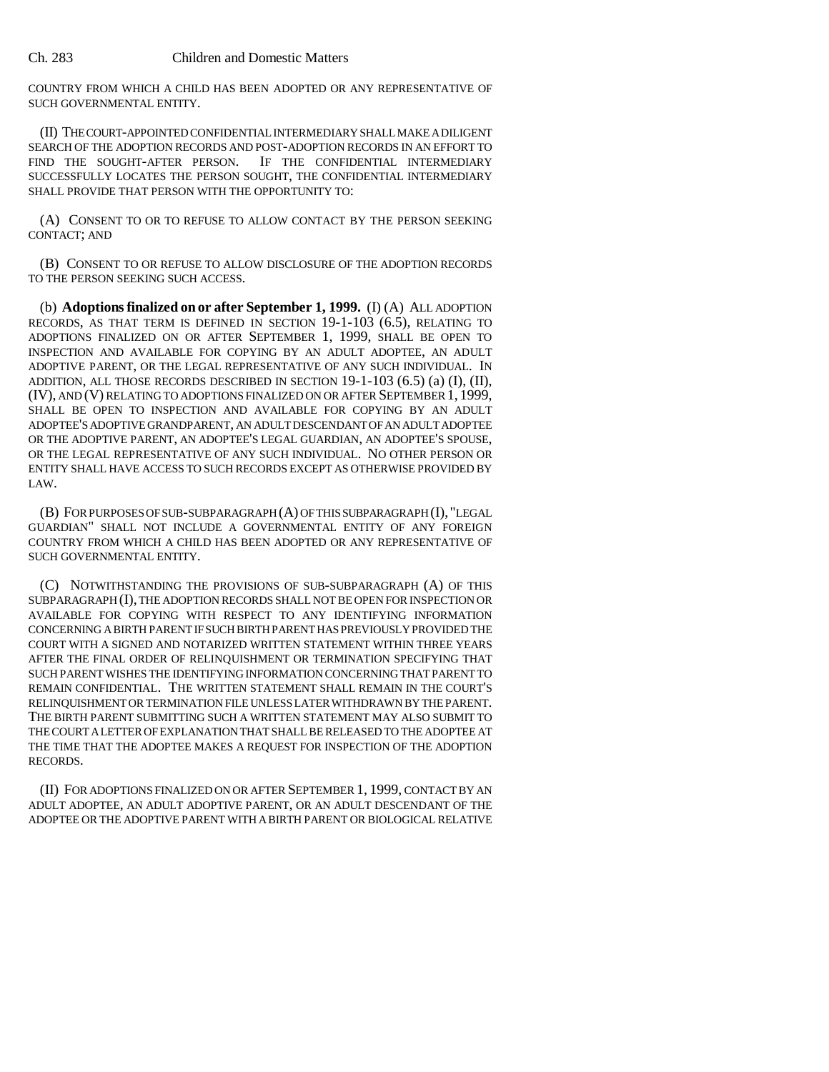COUNTRY FROM WHICH A CHILD HAS BEEN ADOPTED OR ANY REPRESENTATIVE OF SUCH GOVERNMENTAL ENTITY.

(II) THE COURT-APPOINTED CONFIDENTIAL INTERMEDIARY SHALL MAKE A DILIGENT SEARCH OF THE ADOPTION RECORDS AND POST-ADOPTION RECORDS IN AN EFFORT TO FIND THE SOUGHT-AFTER PERSON. IF THE CONFIDENTIAL INTERMEDIARY IF THE CONFIDENTIAL INTERMEDIARY SUCCESSFULLY LOCATES THE PERSON SOUGHT, THE CONFIDENTIAL INTERMEDIARY SHALL PROVIDE THAT PERSON WITH THE OPPORTUNITY TO:

(A) CONSENT TO OR TO REFUSE TO ALLOW CONTACT BY THE PERSON SEEKING CONTACT; AND

(B) CONSENT TO OR REFUSE TO ALLOW DISCLOSURE OF THE ADOPTION RECORDS TO THE PERSON SEEKING SUCH ACCESS.

(b) **Adoptions finalized on or after September 1, 1999.** (I) (A) ALL ADOPTION RECORDS, AS THAT TERM IS DEFINED IN SECTION 19-1-103 (6.5), RELATING TO ADOPTIONS FINALIZED ON OR AFTER SEPTEMBER 1, 1999, SHALL BE OPEN TO INSPECTION AND AVAILABLE FOR COPYING BY AN ADULT ADOPTEE, AN ADULT ADOPTIVE PARENT, OR THE LEGAL REPRESENTATIVE OF ANY SUCH INDIVIDUAL. IN ADDITION, ALL THOSE RECORDS DESCRIBED IN SECTION 19-1-103 (6.5) (a) (I), (II), (IV), AND (V) RELATING TO ADOPTIONS FINALIZED ON OR AFTER SEPTEMBER 1, 1999, SHALL BE OPEN TO INSPECTION AND AVAILABLE FOR COPYING BY AN ADULT ADOPTEE'S ADOPTIVE GRANDPARENT, AN ADULT DESCENDANT OF AN ADULT ADOPTEE OR THE ADOPTIVE PARENT, AN ADOPTEE'S LEGAL GUARDIAN, AN ADOPTEE'S SPOUSE, OR THE LEGAL REPRESENTATIVE OF ANY SUCH INDIVIDUAL. NO OTHER PERSON OR ENTITY SHALL HAVE ACCESS TO SUCH RECORDS EXCEPT AS OTHERWISE PROVIDED BY LAW.

(B) FOR PURPOSES OF SUB-SUBPARAGRAPH (A) OF THIS SUBPARAGRAPH (I), "LEGAL GUARDIAN" SHALL NOT INCLUDE A GOVERNMENTAL ENTITY OF ANY FOREIGN COUNTRY FROM WHICH A CHILD HAS BEEN ADOPTED OR ANY REPRESENTATIVE OF SUCH GOVERNMENTAL ENTITY.

(C) NOTWITHSTANDING THE PROVISIONS OF SUB-SUBPARAGRAPH (A) OF THIS SUBPARAGRAPH (I), THE ADOPTION RECORDS SHALL NOT BE OPEN FOR INSPECTION OR AVAILABLE FOR COPYING WITH RESPECT TO ANY IDENTIFYING INFORMATION CONCERNING A BIRTH PARENT IF SUCH BIRTH PARENT HAS PREVIOUSLY PROVIDED THE COURT WITH A SIGNED AND NOTARIZED WRITTEN STATEMENT WITHIN THREE YEARS AFTER THE FINAL ORDER OF RELINQUISHMENT OR TERMINATION SPECIFYING THAT SUCH PARENT WISHES THE IDENTIFYING INFORMATION CONCERNING THAT PARENT TO REMAIN CONFIDENTIAL. THE WRITTEN STATEMENT SHALL REMAIN IN THE COURT'S RELINQUISHMENT OR TERMINATION FILE UNLESS LATER WITHDRAWN BY THE PARENT. THE BIRTH PARENT SUBMITTING SUCH A WRITTEN STATEMENT MAY ALSO SUBMIT TO THE COURT A LETTER OF EXPLANATION THAT SHALL BE RELEASED TO THE ADOPTEE AT THE TIME THAT THE ADOPTEE MAKES A REQUEST FOR INSPECTION OF THE ADOPTION RECORDS.

(II) FOR ADOPTIONS FINALIZED ON OR AFTER SEPTEMBER 1, 1999, CONTACT BY AN ADULT ADOPTEE, AN ADULT ADOPTIVE PARENT, OR AN ADULT DESCENDANT OF THE ADOPTEE OR THE ADOPTIVE PARENT WITH A BIRTH PARENT OR BIOLOGICAL RELATIVE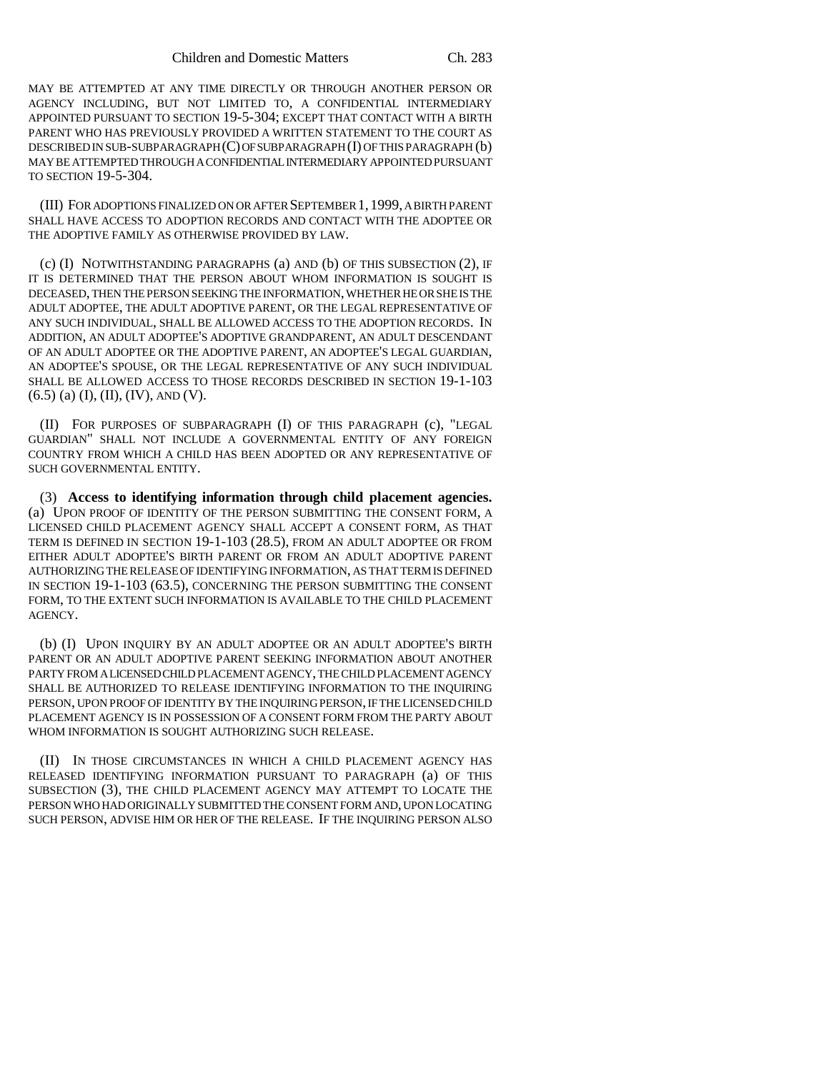MAY BE ATTEMPTED AT ANY TIME DIRECTLY OR THROUGH ANOTHER PERSON OR AGENCY INCLUDING, BUT NOT LIMITED TO, A CONFIDENTIAL INTERMEDIARY APPOINTED PURSUANT TO SECTION 19-5-304; EXCEPT THAT CONTACT WITH A BIRTH PARENT WHO HAS PREVIOUSLY PROVIDED A WRITTEN STATEMENT TO THE COURT AS DESCRIBED IN SUB-SUBPARAGRAPH (C) OF SUBPARAGRAPH (I) OF THIS PARAGRAPH (b) MAY BE ATTEMPTED THROUGH A CONFIDENTIAL INTERMEDIARY APPOINTED PURSUANT TO SECTION 19-5-304.

(III) FOR ADOPTIONS FINALIZED ON OR AFTER SEPTEMBER 1,1999, A BIRTH PARENT SHALL HAVE ACCESS TO ADOPTION RECORDS AND CONTACT WITH THE ADOPTEE OR THE ADOPTIVE FAMILY AS OTHERWISE PROVIDED BY LAW.

(c) (I) NOTWITHSTANDING PARAGRAPHS (a) AND (b) OF THIS SUBSECTION (2), IF IT IS DETERMINED THAT THE PERSON ABOUT WHOM INFORMATION IS SOUGHT IS DECEASED, THEN THE PERSON SEEKING THE INFORMATION, WHETHER HE OR SHE IS THE ADULT ADOPTEE, THE ADULT ADOPTIVE PARENT, OR THE LEGAL REPRESENTATIVE OF ANY SUCH INDIVIDUAL, SHALL BE ALLOWED ACCESS TO THE ADOPTION RECORDS. IN ADDITION, AN ADULT ADOPTEE'S ADOPTIVE GRANDPARENT, AN ADULT DESCENDANT OF AN ADULT ADOPTEE OR THE ADOPTIVE PARENT, AN ADOPTEE'S LEGAL GUARDIAN, AN ADOPTEE'S SPOUSE, OR THE LEGAL REPRESENTATIVE OF ANY SUCH INDIVIDUAL SHALL BE ALLOWED ACCESS TO THOSE RECORDS DESCRIBED IN SECTION 19-1-103  $(6.5)$  (a) (I), (II), (IV), AND (V).

(II) FOR PURPOSES OF SUBPARAGRAPH (I) OF THIS PARAGRAPH (c), "LEGAL GUARDIAN" SHALL NOT INCLUDE A GOVERNMENTAL ENTITY OF ANY FOREIGN COUNTRY FROM WHICH A CHILD HAS BEEN ADOPTED OR ANY REPRESENTATIVE OF SUCH GOVERNMENTAL ENTITY.

(3) **Access to identifying information through child placement agencies.** (a) UPON PROOF OF IDENTITY OF THE PERSON SUBMITTING THE CONSENT FORM, A LICENSED CHILD PLACEMENT AGENCY SHALL ACCEPT A CONSENT FORM, AS THAT TERM IS DEFINED IN SECTION 19-1-103 (28.5), FROM AN ADULT ADOPTEE OR FROM EITHER ADULT ADOPTEE'S BIRTH PARENT OR FROM AN ADULT ADOPTIVE PARENT AUTHORIZING THE RELEASE OF IDENTIFYING INFORMATION, AS THAT TERM IS DEFINED IN SECTION 19-1-103 (63.5), CONCERNING THE PERSON SUBMITTING THE CONSENT FORM, TO THE EXTENT SUCH INFORMATION IS AVAILABLE TO THE CHILD PLACEMENT AGENCY.

(b) (I) UPON INQUIRY BY AN ADULT ADOPTEE OR AN ADULT ADOPTEE'S BIRTH PARENT OR AN ADULT ADOPTIVE PARENT SEEKING INFORMATION ABOUT ANOTHER PARTY FROM A LICENSED CHILD PLACEMENT AGENCY, THE CHILD PLACEMENT AGENCY SHALL BE AUTHORIZED TO RELEASE IDENTIFYING INFORMATION TO THE INQUIRING PERSON, UPON PROOF OF IDENTITY BY THE INQUIRING PERSON, IF THE LICENSED CHILD PLACEMENT AGENCY IS IN POSSESSION OF A CONSENT FORM FROM THE PARTY ABOUT WHOM INFORMATION IS SOUGHT AUTHORIZING SUCH RELEASE.

(II) IN THOSE CIRCUMSTANCES IN WHICH A CHILD PLACEMENT AGENCY HAS RELEASED IDENTIFYING INFORMATION PURSUANT TO PARAGRAPH (a) OF THIS SUBSECTION (3), THE CHILD PLACEMENT AGENCY MAY ATTEMPT TO LOCATE THE PERSON WHO HAD ORIGINALLY SUBMITTED THE CONSENT FORM AND, UPON LOCATING SUCH PERSON, ADVISE HIM OR HER OF THE RELEASE. IF THE INQUIRING PERSON ALSO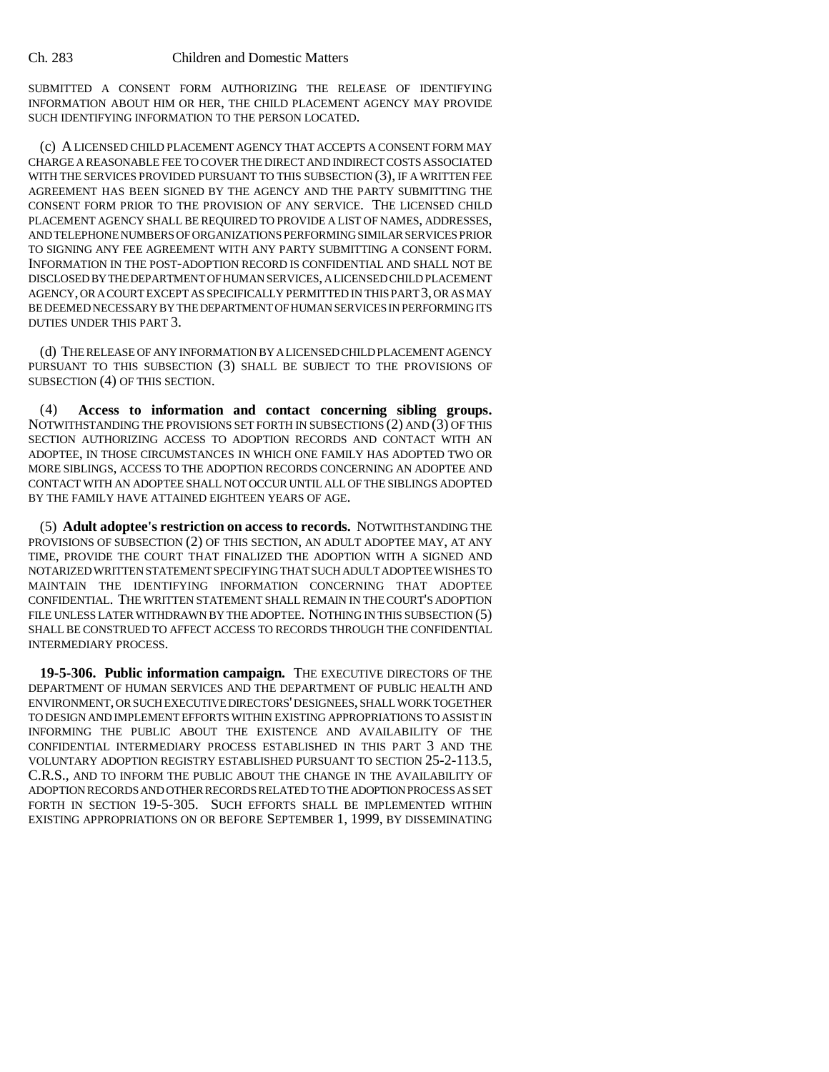SUBMITTED A CONSENT FORM AUTHORIZING THE RELEASE OF IDENTIFYING INFORMATION ABOUT HIM OR HER, THE CHILD PLACEMENT AGENCY MAY PROVIDE SUCH IDENTIFYING INFORMATION TO THE PERSON LOCATED.

(c) A LICENSED CHILD PLACEMENT AGENCY THAT ACCEPTS A CONSENT FORM MAY CHARGE A REASONABLE FEE TO COVER THE DIRECT AND INDIRECT COSTS ASSOCIATED WITH THE SERVICES PROVIDED PURSUANT TO THIS SUBSECTION (3), IF A WRITTEN FEE AGREEMENT HAS BEEN SIGNED BY THE AGENCY AND THE PARTY SUBMITTING THE CONSENT FORM PRIOR TO THE PROVISION OF ANY SERVICE. THE LICENSED CHILD PLACEMENT AGENCY SHALL BE REQUIRED TO PROVIDE A LIST OF NAMES, ADDRESSES, AND TELEPHONE NUMBERS OF ORGANIZATIONS PERFORMING SIMILAR SERVICES PRIOR TO SIGNING ANY FEE AGREEMENT WITH ANY PARTY SUBMITTING A CONSENT FORM. INFORMATION IN THE POST-ADOPTION RECORD IS CONFIDENTIAL AND SHALL NOT BE DISCLOSED BY THE DEPARTMENT OF HUMAN SERVICES, A LICENSED CHILD PLACEMENT AGENCY, OR A COURT EXCEPT AS SPECIFICALLY PERMITTED IN THIS PART 3, OR AS MAY BE DEEMED NECESSARY BY THE DEPARTMENT OF HUMAN SERVICES IN PERFORMING ITS DUTIES UNDER THIS PART 3.

(d) THE RELEASE OF ANY INFORMATION BY A LICENSED CHILD PLACEMENT AGENCY PURSUANT TO THIS SUBSECTION (3) SHALL BE SUBJECT TO THE PROVISIONS OF SUBSECTION (4) OF THIS SECTION.

(4) **Access to information and contact concerning sibling groups.** NOTWITHSTANDING THE PROVISIONS SET FORTH IN SUBSECTIONS  $(2)$  AND  $(3)$  OF THIS SECTION AUTHORIZING ACCESS TO ADOPTION RECORDS AND CONTACT WITH AN ADOPTEE, IN THOSE CIRCUMSTANCES IN WHICH ONE FAMILY HAS ADOPTED TWO OR MORE SIBLINGS, ACCESS TO THE ADOPTION RECORDS CONCERNING AN ADOPTEE AND CONTACT WITH AN ADOPTEE SHALL NOT OCCUR UNTIL ALL OF THE SIBLINGS ADOPTED BY THE FAMILY HAVE ATTAINED EIGHTEEN YEARS OF AGE.

(5) **Adult adoptee's restriction on access to records.** NOTWITHSTANDING THE PROVISIONS OF SUBSECTION (2) OF THIS SECTION, AN ADULT ADOPTEE MAY, AT ANY TIME, PROVIDE THE COURT THAT FINALIZED THE ADOPTION WITH A SIGNED AND NOTARIZED WRITTEN STATEMENT SPECIFYING THAT SUCH ADULT ADOPTEE WISHES TO MAINTAIN THE IDENTIFYING INFORMATION CONCERNING THAT ADOPTEE CONFIDENTIAL. THE WRITTEN STATEMENT SHALL REMAIN IN THE COURT'S ADOPTION FILE UNLESS LATER WITHDRAWN BY THE ADOPTEE. NOTHING IN THIS SUBSECTION (5) SHALL BE CONSTRUED TO AFFECT ACCESS TO RECORDS THROUGH THE CONFIDENTIAL INTERMEDIARY PROCESS.

**19-5-306. Public information campaign.** THE EXECUTIVE DIRECTORS OF THE DEPARTMENT OF HUMAN SERVICES AND THE DEPARTMENT OF PUBLIC HEALTH AND ENVIRONMENT, OR SUCH EXECUTIVE DIRECTORS' DESIGNEES, SHALL WORK TOGETHER TO DESIGN AND IMPLEMENT EFFORTS WITHIN EXISTING APPROPRIATIONS TO ASSIST IN INFORMING THE PUBLIC ABOUT THE EXISTENCE AND AVAILABILITY OF THE CONFIDENTIAL INTERMEDIARY PROCESS ESTABLISHED IN THIS PART 3 AND THE VOLUNTARY ADOPTION REGISTRY ESTABLISHED PURSUANT TO SECTION 25-2-113.5, C.R.S., AND TO INFORM THE PUBLIC ABOUT THE CHANGE IN THE AVAILABILITY OF ADOPTION RECORDS AND OTHER RECORDS RELATED TO THE ADOPTION PROCESS AS SET FORTH IN SECTION 19-5-305. SUCH EFFORTS SHALL BE IMPLEMENTED WITHIN EXISTING APPROPRIATIONS ON OR BEFORE SEPTEMBER 1, 1999, BY DISSEMINATING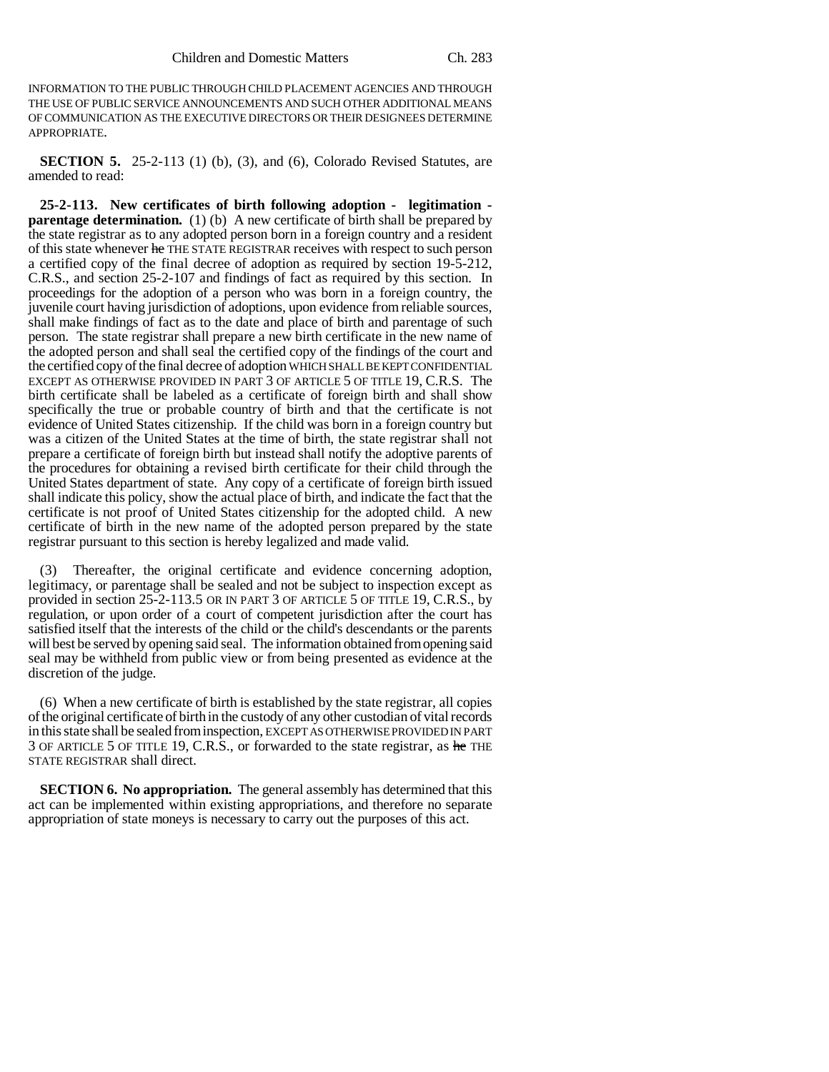INFORMATION TO THE PUBLIC THROUGH CHILD PLACEMENT AGENCIES AND THROUGH THE USE OF PUBLIC SERVICE ANNOUNCEMENTS AND SUCH OTHER ADDITIONAL MEANS OF COMMUNICATION AS THE EXECUTIVE DIRECTORS OR THEIR DESIGNEES DETERMINE APPROPRIATE.

**SECTION 5.** 25-2-113 (1) (b), (3), and (6), Colorado Revised Statutes, are amended to read:

**25-2-113. New certificates of birth following adoption - legitimation parentage determination.** (1) (b) A new certificate of birth shall be prepared by the state registrar as to any adopted person born in a foreign country and a resident of this state whenever he THE STATE REGISTRAR receives with respect to such person a certified copy of the final decree of adoption as required by section 19-5-212, C.R.S., and section 25-2-107 and findings of fact as required by this section. In proceedings for the adoption of a person who was born in a foreign country, the juvenile court having jurisdiction of adoptions, upon evidence from reliable sources, shall make findings of fact as to the date and place of birth and parentage of such person. The state registrar shall prepare a new birth certificate in the new name of the adopted person and shall seal the certified copy of the findings of the court and the certified copy of the final decree of adoption WHICH SHALL BE KEPT CONFIDENTIAL EXCEPT AS OTHERWISE PROVIDED IN PART 3 OF ARTICLE 5 OF TITLE 19, C.R.S. The birth certificate shall be labeled as a certificate of foreign birth and shall show specifically the true or probable country of birth and that the certificate is not evidence of United States citizenship. If the child was born in a foreign country but was a citizen of the United States at the time of birth, the state registrar shall not prepare a certificate of foreign birth but instead shall notify the adoptive parents of the procedures for obtaining a revised birth certificate for their child through the United States department of state. Any copy of a certificate of foreign birth issued shall indicate this policy, show the actual place of birth, and indicate the fact that the certificate is not proof of United States citizenship for the adopted child. A new certificate of birth in the new name of the adopted person prepared by the state registrar pursuant to this section is hereby legalized and made valid.

Thereafter, the original certificate and evidence concerning adoption, legitimacy, or parentage shall be sealed and not be subject to inspection except as provided in section 25-2-113.5 OR IN PART 3 OF ARTICLE 5 OF TITLE 19, C.R.S., by regulation, or upon order of a court of competent jurisdiction after the court has satisfied itself that the interests of the child or the child's descendants or the parents will best be served by opening said seal. The information obtained from opening said seal may be withheld from public view or from being presented as evidence at the discretion of the judge.

(6) When a new certificate of birth is established by the state registrar, all copies of the original certificate of birth in the custody of any other custodian of vital records in this state shall be sealed from inspection, EXCEPT AS OTHERWISE PROVIDED IN PART 3 OF ARTICLE 5 OF TITLE 19, C.R.S., or forwarded to the state registrar, as he THE STATE REGISTRAR shall direct.

**SECTION 6. No appropriation.** The general assembly has determined that this act can be implemented within existing appropriations, and therefore no separate appropriation of state moneys is necessary to carry out the purposes of this act.